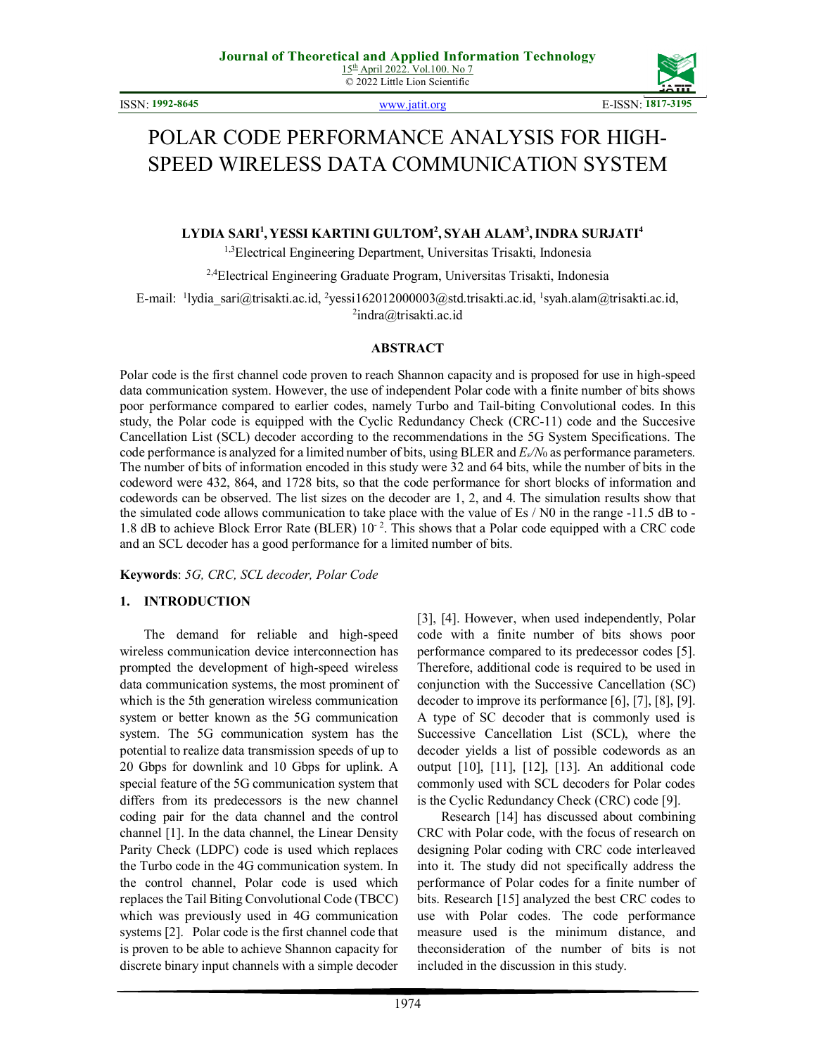© 2022 Little Lion Scientific

ISSN: **1992-8645** www.jatit.org E-ISSN: **1817-3195**



# POLAR CODE PERFORMANCE ANALYSIS FOR HIGH-SPEED WIRELESS DATA COMMUNICATION SYSTEM

# **LYDIA SARI<sup>1</sup> , YESSI KARTINI GULTOM<sup>2</sup> , SYAH ALAM<sup>3</sup> ,INDRA SURJATI<sup>4</sup>**

1,3Electrical Engineering Department, Universitas Trisakti, Indonesia

<sup>2,4</sup>Electrical Engineering Graduate Program, Universitas Trisakti, Indonesia

E-mail: <sup>1</sup>lydia\_sari@trisakti.ac.id, <sup>2</sup>yessi162012000003@std.trisakti.ac.id, <sup>1</sup>syah.alam@trisakti.ac.id, <sup>2</sup>indra@trisakti.ac.id

#### **ABSTRACT**

Polar code is the first channel code proven to reach Shannon capacity and is proposed for use in high-speed data communication system. However, the use of independent Polar code with a finite number of bits shows poor performance compared to earlier codes, namely Turbo and Tail-biting Convolutional codes. In this study, the Polar code is equipped with the Cyclic Redundancy Check (CRC-11) code and the Succesive Cancellation List (SCL) decoder according to the recommendations in the 5G System Specifications. The code performance is analyzed for a limited number of bits, using BLER and *Es/N*0 as performance parameters. The number of bits of information encoded in this study were 32 and 64 bits, while the number of bits in the codeword were 432, 864, and 1728 bits, so that the code performance for short blocks of information and codewords can be observed. The list sizes on the decoder are 1, 2, and 4. The simulation results show that the simulated code allows communication to take place with the value of Es / N0 in the range -11.5 dB to - 1.8 dB to achieve Block Error Rate (BLER)  $10^{-2}$ . This shows that a Polar code equipped with a CRC code and an SCL decoder has a good performance for a limited number of bits.

**Keywords**: *5G, CRC, SCL decoder, Polar Code* 

#### **1. INTRODUCTION**

The demand for reliable and high-speed wireless communication device interconnection has prompted the development of high-speed wireless data communication systems, the most prominent of which is the 5th generation wireless communication system or better known as the 5G communication system. The 5G communication system has the potential to realize data transmission speeds of up to 20 Gbps for downlink and 10 Gbps for uplink. A special feature of the 5G communication system that differs from its predecessors is the new channel coding pair for the data channel and the control channel [1]. In the data channel, the Linear Density Parity Check (LDPC) code is used which replaces the Turbo code in the 4G communication system. In the control channel, Polar code is used which replaces the Tail Biting Convolutional Code (TBCC) which was previously used in 4G communication systems [2]. Polar code is the first channel code that is proven to be able to achieve Shannon capacity for discrete binary input channels with a simple decoder [3], [4]. However, when used independently, Polar code with a finite number of bits shows poor performance compared to its predecessor codes [5]. Therefore, additional code is required to be used in conjunction with the Successive Cancellation (SC) decoder to improve its performance [6], [7], [8], [9]. A type of SC decoder that is commonly used is Successive Cancellation List (SCL), where the decoder yields a list of possible codewords as an output [10], [11], [12], [13]. An additional code commonly used with SCL decoders for Polar codes is the Cyclic Redundancy Check (CRC) code [9].

Research [14] has discussed about combining CRC with Polar code, with the focus of research on designing Polar coding with CRC code interleaved into it. The study did not specifically address the performance of Polar codes for a finite number of bits. Research [15] analyzed the best CRC codes to use with Polar codes. The code performance measure used is the minimum distance, and theconsideration of the number of bits is not included in the discussion in this study.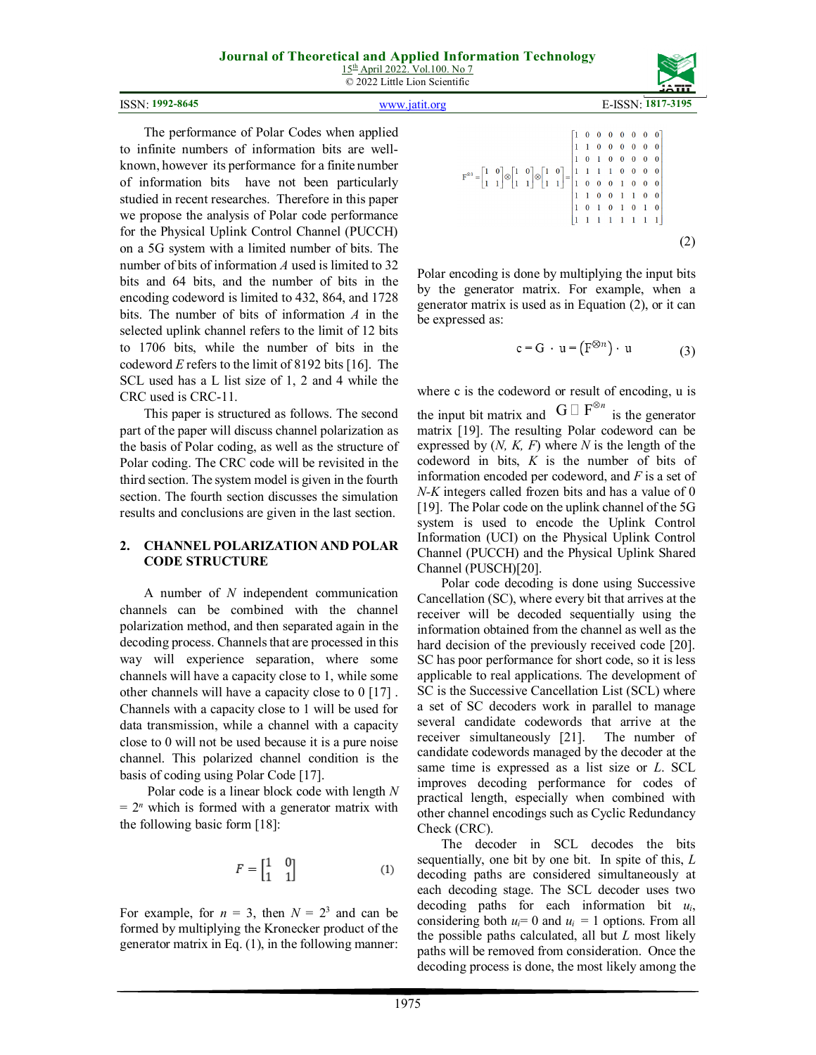15<sup>th</sup> April 2022. Vol.100. No 7 © 2022 Little Lion Scientific

```
ISSN: 1992-8645 E-ISSN: 1817-319
```


The performance of Polar Codes when applied to infinite numbers of information bits are wellknown, however its performance for a finite number of information bits have not been particularly studied in recent researches. Therefore in this paper we propose the analysis of Polar code performance for the Physical Uplink Control Channel (PUCCH) on a 5G system with a limited number of bits. The number of bits of information *A* used is limited to 32 bits and 64 bits, and the number of bits in the encoding codeword is limited to 432, 864, and 1728 bits. The number of bits of information *A* in the selected uplink channel refers to the limit of 12 bits to 1706 bits, while the number of bits in the codeword *E* refers to the limit of 8192 bits [16]. The SCL used has a L list size of 1, 2 and 4 while the CRC used is CRC-11.

This paper is structured as follows. The second part of the paper will discuss channel polarization as the basis of Polar coding, as well as the structure of Polar coding. The CRC code will be revisited in the third section. The system model is given in the fourth section. The fourth section discusses the simulation results and conclusions are given in the last section.

## **2. CHANNEL POLARIZATION AND POLAR CODE STRUCTURE**

A number of *N* independent communication channels can be combined with the channel polarization method, and then separated again in the decoding process. Channels that are processed in this way will experience separation, where some channels will have a capacity close to 1, while some other channels will have a capacity close to 0 [17] . Channels with a capacity close to 1 will be used for data transmission, while a channel with a capacity close to 0 will not be used because it is a pure noise channel. This polarized channel condition is the basis of coding using Polar Code [17].

 Polar code is a linear block code with length *N*   $= 2<sup>n</sup>$  which is formed with a generator matrix with the following basic form [18]:

$$
F = \begin{bmatrix} 1 & 0 \\ 1 & 1 \end{bmatrix} \tag{1}
$$

For example, for  $n = 3$ , then  $N = 2<sup>3</sup>$  and can be formed by multiplying the Kronecker product of the generator matrix in Eq. (1), in the following manner:

$$
F^{\otimes 3} = \begin{bmatrix} 1 & 0 \\ 1 & 1 \end{bmatrix} \otimes \begin{bmatrix} 1 & 0 \\ 1 & 0 \end{bmatrix} \otimes \begin{bmatrix} 1 & 0 \\ 1 & 0 \end{bmatrix} = \begin{bmatrix} 1 & 0 & 0 & 0 & 0 & 0 & 0 & 0 \\ 1 & 1 & 0 & 0 & 0 & 0 & 0 & 0 \\ 1 & 0 & 1 & 0 & 0 & 0 & 0 & 0 \\ 1 & 1 & 1 & 1 & 1 & 0 & 0 & 0 & 0 \\ 1 & 1 & 0 & 0 & 1 & 1 & 0 & 0 & 0 \\ 1 & 1 & 1 & 1 & 1 & 1 & 1 & 1 & 1 \end{bmatrix}
$$
 (2)

Polar encoding is done by multiplying the input bits by the generator matrix. For example, when a generator matrix is used as in Equation (2), or it can be expressed as:

$$
c = G \cdot u = (F^{\otimes n}) \cdot u \tag{3}
$$

where c is the codeword or result of encoding, u is the input bit matrix and  $G$   $F^{\otimes n}$  is the generator matrix [19]. The resulting Polar codeword can be expressed by (*N, K, F*) where *N* is the length of the codeword in bits, *K* is the number of bits of information encoded per codeword, and *F* is a set of *N-K* integers called frozen bits and has a value of 0 [19]. The Polar code on the uplink channel of the 5G system is used to encode the Uplink Control Information (UCI) on the Physical Uplink Control Channel (PUCCH) and the Physical Uplink Shared Channel (PUSCH)[20].

Polar code decoding is done using Successive Cancellation (SC), where every bit that arrives at the receiver will be decoded sequentially using the information obtained from the channel as well as the hard decision of the previously received code [20]. SC has poor performance for short code, so it is less applicable to real applications. The development of SC is the Successive Cancellation List (SCL) where a set of SC decoders work in parallel to manage several candidate codewords that arrive at the receiver simultaneously [21]. The number of candidate codewords managed by the decoder at the same time is expressed as a list size or *L*. SCL improves decoding performance for codes of practical length, especially when combined with other channel encodings such as Cyclic Redundancy Check (CRC).

The decoder in SCL decodes the bits sequentially, one bit by one bit. In spite of this, *L* decoding paths are considered simultaneously at each decoding stage. The SCL decoder uses two decoding paths for each information bit *ui*, considering both  $u_i = 0$  and  $u_i = 1$  options. From all the possible paths calculated, all but *L* most likely paths will be removed from consideration. Once the decoding process is done, the most likely among the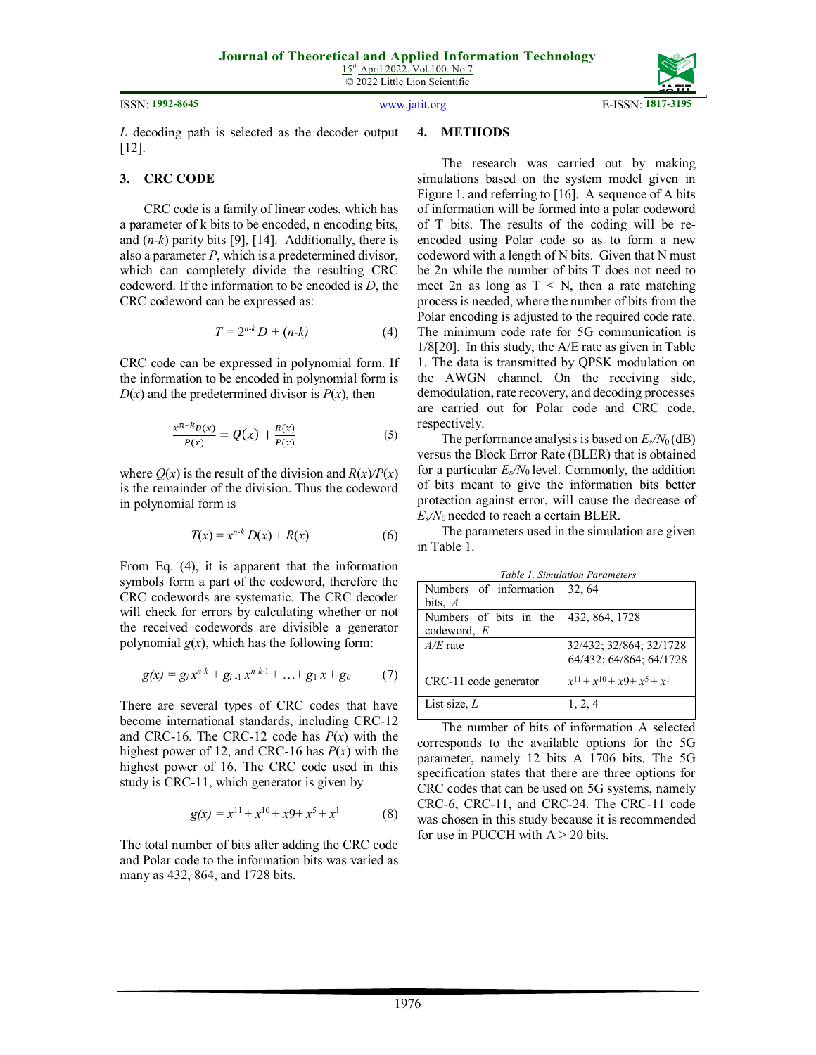15<sup>th</sup> April 2022. Vol.100. No 7 © 2022 Little Lion Scientific

#### ISSN: **1992-8645** www.jatit.org E-ISSN: **1817-3195**



*L* decoding path is selected as the decoder output [12].

### **3. CRC CODE**

CRC code is a family of linear codes, which has a parameter of k bits to be encoded, n encoding bits, and (*n*-*k*) parity bits [9], [14]. Additionally, there is also a parameter *P*, which is a predetermined divisor, which can completely divide the resulting CRC codeword. If the information to be encoded is *D*, the CRC codeword can be expressed as:

$$
T = 2^{n-k}D + (n-k) \tag{4}
$$

CRC code can be expressed in polynomial form. If the information to be encoded in polynomial form is  $D(x)$  and the predetermined divisor is  $P(x)$ , then

$$
\frac{x^{n-k}D(x)}{P(x)} = Q(x) + \frac{R(x)}{P(x)}
$$
(5)

where  $Q(x)$  is the result of the division and  $R(x)/P(x)$ is the remainder of the division. Thus the codeword in polynomial form is

$$
T(x) = x^{n-k} D(x) + R(x) \tag{6}
$$

From Eq. (4), it is apparent that the information symbols form a part of the codeword, therefore the CRC codewords are systematic. The CRC decoder will check for errors by calculating whether or not the received codewords are divisible a generator polynomial  $g(x)$ , which has the following form:

$$
g(x) = g_i x^{n-k} + g_{i-1} x^{n-k-1} + \ldots + g_1 x + g_0 \qquad (7)
$$

There are several types of CRC codes that have become international standards, including CRC-12 and CRC-16. The CRC-12 code has *P*(*x*) with the highest power of 12, and CRC-16 has  $P(x)$  with the highest power of 16. The CRC code used in this study is CRC-11, which generator is given by

$$
g(x) = x^{11} + x^{10} + x9 + x^5 + x^1 \tag{8}
$$

The total number of bits after adding the CRC code and Polar code to the information bits was varied as many as 432, 864, and 1728 bits.

### **4. METHODS**

The research was carried out by making simulations based on the system model given in Figure 1, and referring to [16]. A sequence of A bits of information will be formed into a polar codeword of T bits. The results of the coding will be reencoded using Polar code so as to form a new codeword with a length of N bits. Given that N must be 2n while the number of bits T does not need to meet 2n as long as  $T < N$ , then a rate matching process is needed, where the number of bits from the Polar encoding is adjusted to the required code rate. The minimum code rate for 5G communication is 1/8[20]. In this study, the A/E rate as given in Table 1. The data is transmitted by QPSK modulation on the AWGN channel. On the receiving side, demodulation, rate recovery, and decoding processes are carried out for Polar code and CRC code, respectively.

The performance analysis is based on  $E_s/N_0$  (dB) versus the Block Error Rate (BLER) that is obtained for a particular  $E_s/N_0$  level. Commonly, the addition of bits meant to give the information bits better protection against error, will cause the decrease of *Es/N*0 needed to reach a certain BLER.

The parameters used in the simulation are given in Table 1.

| Table 1. Simulation Parameters |                                    |
|--------------------------------|------------------------------------|
| Numbers of information         | 32, 64                             |
| bits, $A$                      |                                    |
| Numbers of bits in the         | 432, 864, 1728                     |
| codeword, $E$                  |                                    |
| $A/E$ rate                     | 32/432; 32/864; 32/1728            |
|                                | 64/432; 64/864; 64/1728            |
|                                |                                    |
| CRC-11 code generator          | $x^{11} + x^{10} + x9 + x^5 + x^1$ |
| List size, $L$                 | 1, 2, 4                            |
|                                |                                    |

*Table 1. Simulation Parameters* 

The number of bits of information A selected corresponds to the available options for the 5G parameter, namely 12 bits A 1706 bits. The 5G specification states that there are three options for CRC codes that can be used on 5G systems, namely CRC-6, CRC-11, and CRC-24. The CRC-11 code was chosen in this study because it is recommended for use in PUCCH with  $A > 20$  bits.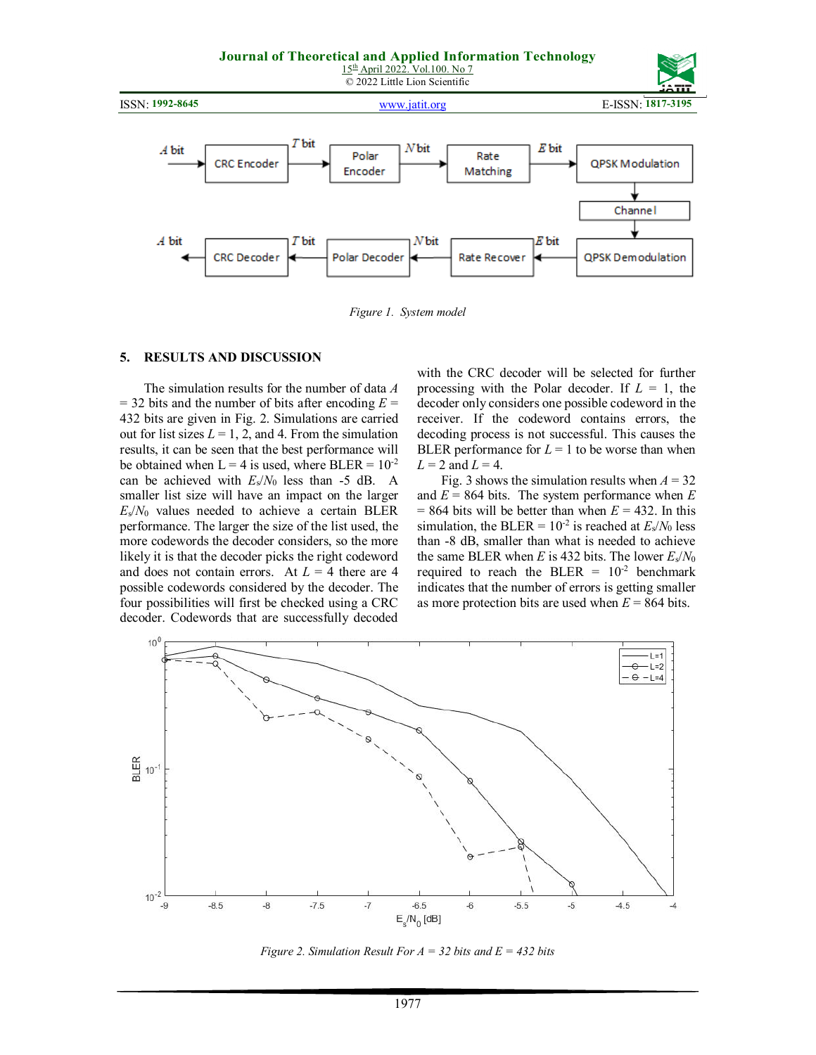

*Figure 1. System model* 

#### **5. RESULTS AND DISCUSSION**

The simulation results for the number of data *A*  $=$  32 bits and the number of bits after encoding  $E =$ 432 bits are given in Fig. 2. Simulations are carried out for list sizes  $L = 1, 2$ , and 4. From the simulation results, it can be seen that the best performance will be obtained when  $L = 4$  is used, where BLER =  $10^{-2}$ can be achieved with  $E_s/N_0$  less than -5 dB. A smaller list size will have an impact on the larger  $E_s/N_0$  values needed to achieve a certain BLER performance. The larger the size of the list used, the more codewords the decoder considers, so the more likely it is that the decoder picks the right codeword and does not contain errors. At  $L = 4$  there are 4 possible codewords considered by the decoder. The four possibilities will first be checked using a CRC decoder. Codewords that are successfully decoded

with the CRC decoder will be selected for further processing with the Polar decoder. If  $L = 1$ , the decoder only considers one possible codeword in the receiver. If the codeword contains errors, the decoding process is not successful. This causes the BLER performance for  $L = 1$  to be worse than when  $L = 2$  and  $L = 4$ .

Fig. 3 shows the simulation results when  $A = 32$ and  $E = 864$  bits. The system performance when  $E$  $= 864$  bits will be better than when  $E = 432$ . In this simulation, the BLER =  $10^{-2}$  is reached at  $E_s/N_0$  less than -8 dB, smaller than what is needed to achieve the same BLER when *E* is 432 bits. The lower *E*s/*N*<sup>0</sup> required to reach the BLER =  $10^{-2}$  benchmark indicates that the number of errors is getting smaller as more protection bits are used when *E* = 864 bits.



*Figure 2. Simulation Result For A = 32 bits and E = 432 bits*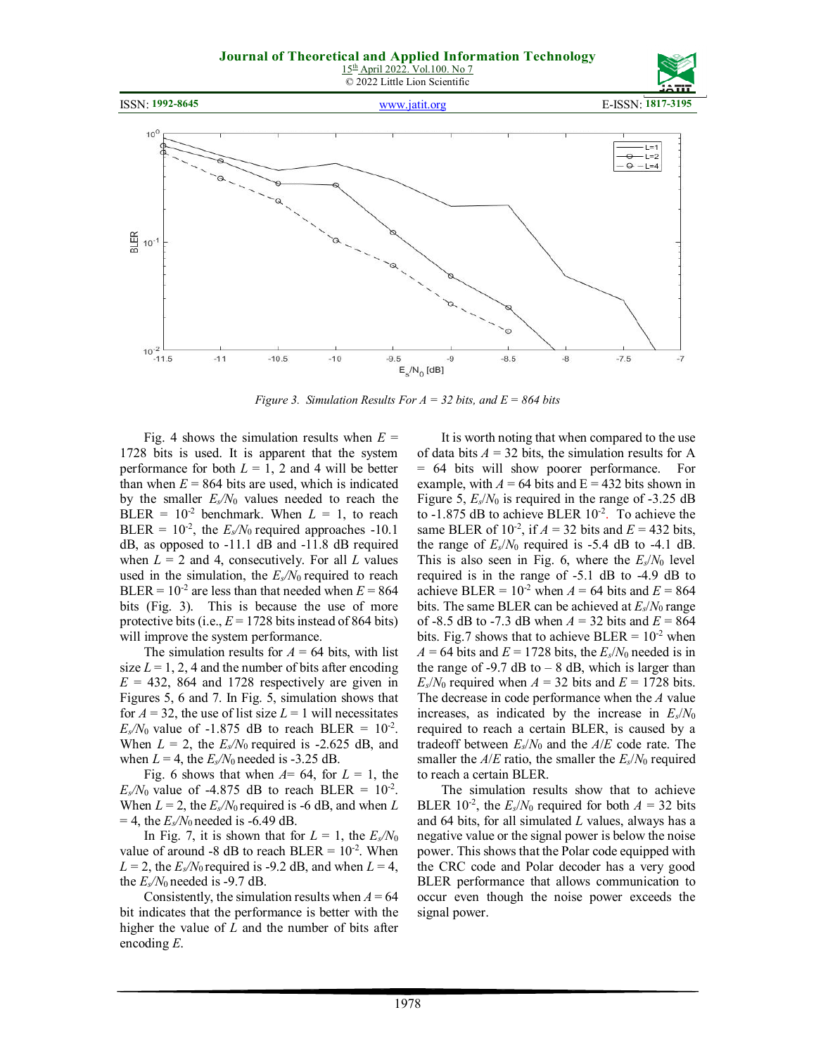





*Figure 3. Simulation Results For A = 32 bits, and E = 864 bits*

Fig. 4 shows the simulation results when  $E =$ 1728 bits is used. It is apparent that the system performance for both  $L = 1$ , 2 and 4 will be better than when  $E = 864$  bits are used, which is indicated by the smaller  $E_s/N_0$  values needed to reach the BLER =  $10^{-2}$  benchmark. When  $L = 1$ , to reach BLER =  $10^{-2}$ , the  $E_s/N_0$  required approaches -10.1 dB, as opposed to -11.1 dB and -11.8 dB required when  $L = 2$  and 4, consecutively. For all  $L$  values used in the simulation, the  $E_s/N_0$  required to reach BLER =  $10^{-2}$  are less than that needed when  $E = 864$ bits (Fig. 3). This is because the use of more protective bits (i.e.,  $E = 1728$  bits instead of 864 bits) will improve the system performance.

The simulation results for  $A = 64$  bits, with list size  $L = 1, 2, 4$  and the number of bits after encoding  $E = 432$ , 864 and 1728 respectively are given in Figures 5, 6 and 7. In Fig. 5, simulation shows that for  $A = 32$ , the use of list size  $L = 1$  will necessitates  $E_s/N_0$  value of -1.875 dB to reach BLER =  $10^{-2}$ . When  $L = 2$ , the  $E_s/N_0$  required is -2.625 dB, and when  $L = 4$ , the  $E_s/N_0$  needed is -3.25 dB.

Fig. 6 shows that when  $A=$  64, for  $L=1$ , the  $E_s/N_0$  value of -4.875 dB to reach BLER =  $10^{-2}$ . When  $L = 2$ , the  $E_s/N_0$  required is -6 dB, and when  $L$  $= 4$ , the  $E_s/N_0$  needed is -6.49 dB.

In Fig. 7, it is shown that for  $L = 1$ , the  $E_s/N_0$ value of around -8 dB to reach BLER =  $10^{-2}$ . When  $L = 2$ , the  $E_s/N_0$  required is -9.2 dB, and when  $L = 4$ , the  $E_s/N_0$  needed is -9.7 dB.

Consistently, the simulation results when  $A = 64$ bit indicates that the performance is better with the higher the value of *L* and the number of bits after encoding *E*.

It is worth noting that when compared to the use of data bits  $A = 32$  bits, the simulation results for A = 64 bits will show poorer performance. For example, with  $A = 64$  bits and  $E = 432$  bits shown in Figure 5,  $E_s/N_0$  is required in the range of -3.25 dB to  $-1.875$  dB to achieve BLER  $10^{-2}$ . To achieve the same BLER of  $10^{-2}$ , if  $A = 32$  bits and  $E = 432$  bits, the range of  $E_s/N_0$  required is -5.4 dB to -4.1 dB. This is also seen in Fig. 6, where the  $E_s/N_0$  level required is in the range of -5.1 dB to -4.9 dB to achieve BLER =  $10^{-2}$  when  $A = 64$  bits and  $E = 864$ bits. The same BLER can be achieved at  $E_s/N_0$  range of -8.5 dB to -7.3 dB when  $A = 32$  bits and  $E = 864$ bits. Fig.7 shows that to achieve BLER =  $10^{-2}$  when  $A = 64$  bits and  $E = 1728$  bits, the  $E_s/N_0$  needed is in the range of -9.7 dB to  $-8$  dB, which is larger than  $E_s/N_0$  required when  $A = 32$  bits and  $E = 1728$  bits. The decrease in code performance when the *A* value increases, as indicated by the increase in  $E_s/N_0$ required to reach a certain BLER, is caused by a tradeoff between  $E_s/N_0$  and the  $A/E$  code rate. The smaller the  $A/E$  ratio, the smaller the  $E_s/N_0$  required to reach a certain BLER.

The simulation results show that to achieve BLER 10<sup>-2</sup>, the  $E_s/N_0$  required for both  $A = 32$  bits and 64 bits, for all simulated *L* values, always has a negative value or the signal power is below the noise power. This shows that the Polar code equipped with the CRC code and Polar decoder has a very good BLER performance that allows communication to occur even though the noise power exceeds the signal power.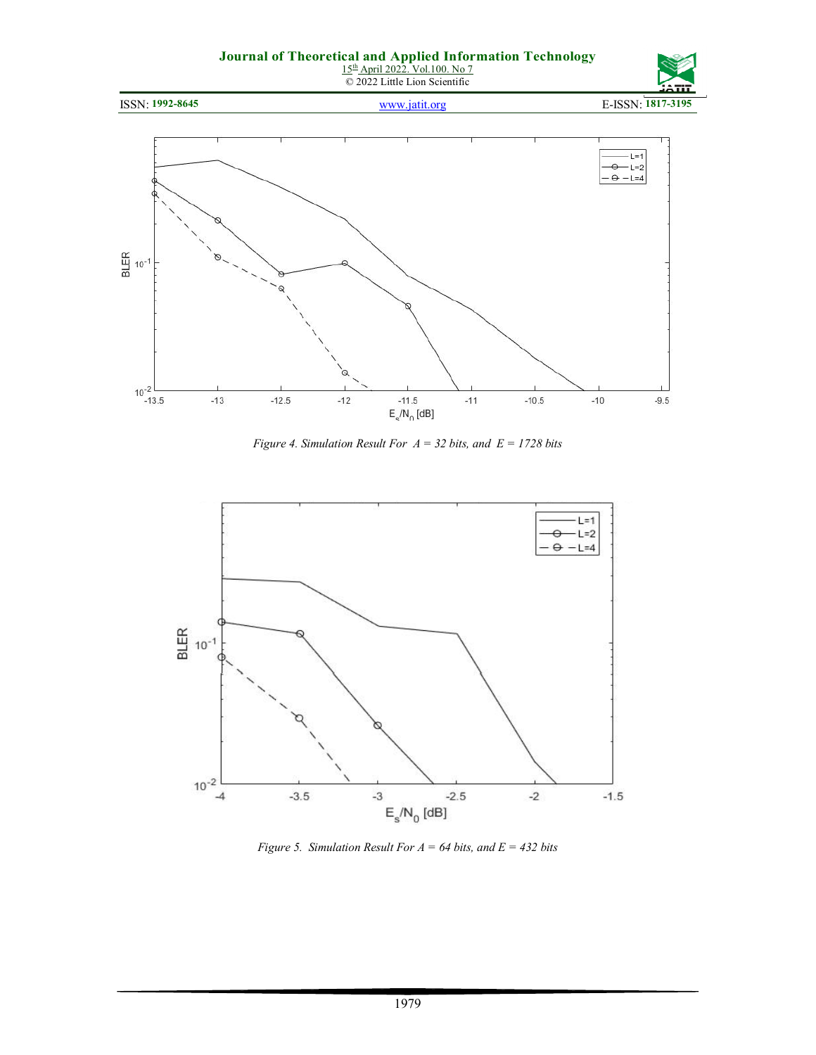

ISSN: **1992-8645** www.jatit.org E-ISSN: **1817-3195**



*Figure 4. Simulation Result For A = 32 bits, and E = 1728 bits* 



*Figure 5. Simulation Result For A = 64 bits, and E = 432 bits*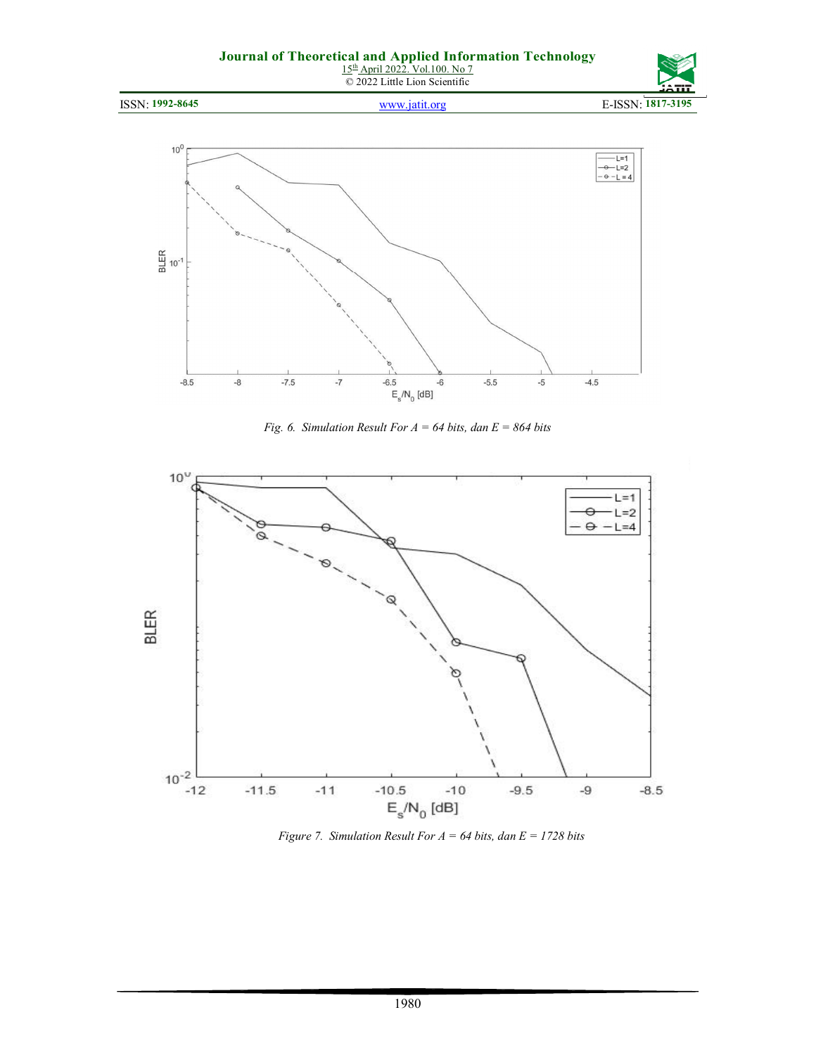

*Fig. 6. Simulation Result For A = 64 bits, dan E = 864 bits* 



*Figure 7. Simulation Result For A = 64 bits, dan E = 1728 bits*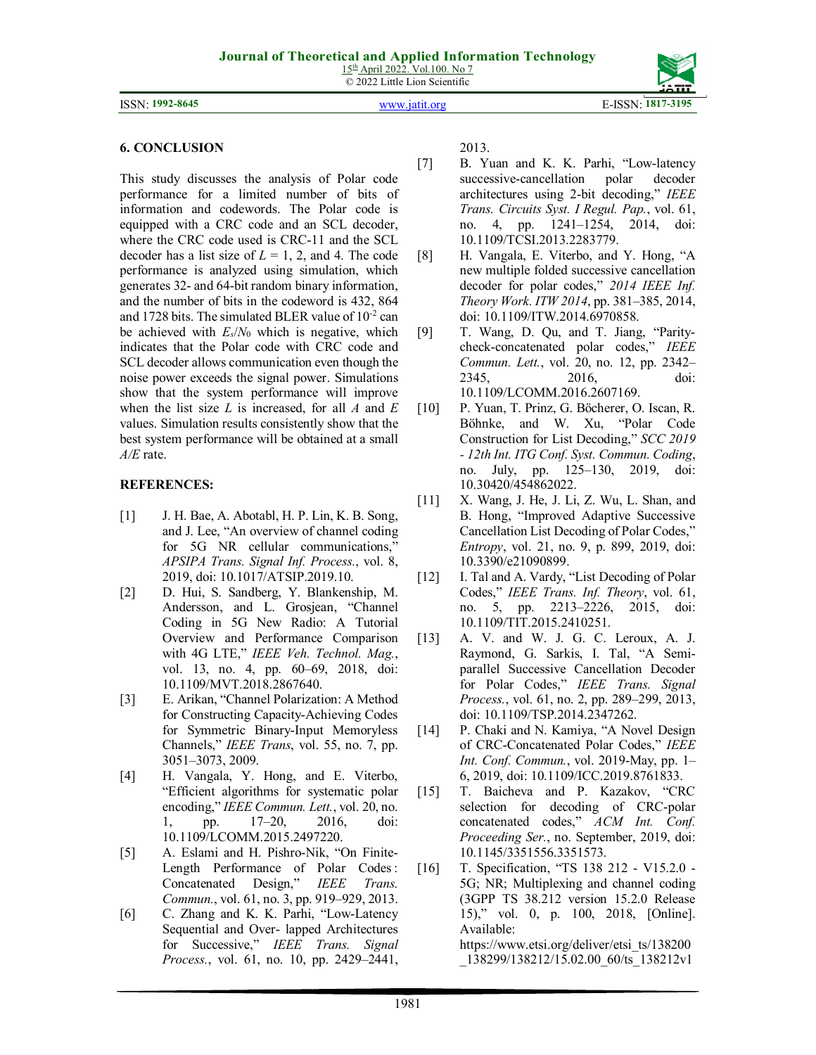15<sup>th</sup> April 2022. Vol.100. No 7 © 2022 Little Lion Scientific

ISSN: **1992-8645** www.jatit.org E-ISSN: **1817-3195**

#### **6. CONCLUSION**

This study discusses the analysis of Polar code performance for a limited number of bits of information and codewords. The Polar code is equipped with a CRC code and an SCL decoder, where the CRC code used is CRC-11 and the SCL decoder has a list size of  $L = 1, 2$ , and 4. The code performance is analyzed using simulation, which generates 32- and 64-bit random binary information, and the number of bits in the codeword is 432, 864 and 1728 bits. The simulated BLER value of  $10^{-2}$  can be achieved with  $E_s/N_0$  which is negative, which indicates that the Polar code with CRC code and SCL decoder allows communication even though the noise power exceeds the signal power. Simulations show that the system performance will improve when the list size *L* is increased, for all *A* and *E*  values. Simulation results consistently show that the best system performance will be obtained at a small *A/E* rate.

## **REFERENCES:**

- [1] J. H. Bae, A. Abotabl, H. P. Lin, K. B. Song, and J. Lee, "An overview of channel coding for 5G NR cellular communications," *APSIPA Trans. Signal Inf. Process.*, vol. 8, 2019, doi: 10.1017/ATSIP.2019.10.
- [2] D. Hui, S. Sandberg, Y. Blankenship, M. Andersson, and L. Grosjean, "Channel Coding in 5G New Radio: A Tutorial Overview and Performance Comparison with 4G LTE," *IEEE Veh. Technol. Mag.*, vol. 13, no. 4, pp. 60–69, 2018, doi: 10.1109/MVT.2018.2867640.
- [3] E. Arikan, "Channel Polarization: A Method for Constructing Capacity-Achieving Codes for Symmetric Binary-Input Memoryless Channels," *IEEE Trans*, vol. 55, no. 7, pp. 3051–3073, 2009.
- [4] H. Vangala, Y. Hong, and E. Viterbo, "Efficient algorithms for systematic polar encoding," *IEEE Commun. Lett.*, vol. 20, no. 1, pp. 17–20, 2016, doi: 10.1109/LCOMM.2015.2497220.
- [5] A. Eslami and H. Pishro-Nik, "On Finite-Length Performance of Polar Codes: Concatenated Design," *IEEE Trans. Commun.*, vol. 61, no. 3, pp. 919–929, 2013.
- [6] C. Zhang and K. K. Parhi, "Low-Latency Sequential and Over- lapped Architectures for Successive," *IEEE Trans. Signal Process.*, vol. 61, no. 10, pp. 2429–2441,

2013.

- [7] B. Yuan and K. K. Parhi, "Low-latency successive-cancellation polar decoder architectures using 2-bit decoding," *IEEE Trans. Circuits Syst. I Regul. Pap.*, vol. 61, no. 4, pp. 1241–1254, 2014, doi: 10.1109/TCSI.2013.2283779.
- [8] H. Vangala, E. Viterbo, and Y. Hong, "A new multiple folded successive cancellation decoder for polar codes," *2014 IEEE Inf. Theory Work. ITW 2014*, pp. 381–385, 2014, doi: 10.1109/ITW.2014.6970858.
- [9] T. Wang, D. Qu, and T. Jiang, "Paritycheck-concatenated polar codes," *IEEE Commun. Lett.*, vol. 20, no. 12, pp. 2342– 2345, 2016, doi: 10.1109/LCOMM.2016.2607169.
- [10] P. Yuan, T. Prinz, G. Böcherer, O. Iscan, R. Böhnke, and W. Xu, "Polar Code Construction for List Decoding," *SCC 2019 - 12th Int. ITG Conf. Syst. Commun. Coding*, no. July, pp. 125–130, 2019, doi: 10.30420/454862022.
- [11] X. Wang, J. He, J. Li, Z. Wu, L. Shan, and B. Hong, "Improved Adaptive Successive Cancellation List Decoding of Polar Codes," *Entropy*, vol. 21, no. 9, p. 899, 2019, doi: 10.3390/e21090899.
- [12] I. Tal and A. Vardy, "List Decoding of Polar Codes," *IEEE Trans. Inf. Theory*, vol. 61, no. 5, pp. 2213–2226, 2015, doi: 10.1109/TIT.2015.2410251.
- [13] A. V. and W. J. G. C. Leroux, A. J. Raymond, G. Sarkis, I. Tal, "A Semiparallel Successive Cancellation Decoder for Polar Codes," *IEEE Trans. Signal Process.*, vol. 61, no. 2, pp. 289–299, 2013, doi: 10.1109/TSP.2014.2347262.
- [14] P. Chaki and N. Kamiya, "A Novel Design of CRC-Concatenated Polar Codes," *IEEE Int. Conf. Commun.*, vol. 2019-May, pp. 1– 6, 2019, doi: 10.1109/ICC.2019.8761833.
- [15] T. Baicheva and P. Kazakov, "CRC selection for decoding of CRC-polar concatenated codes," *ACM Int. Conf. Proceeding Ser.*, no. September, 2019, doi: 10.1145/3351556.3351573.
- [16] T. Specification, "TS 138 212 V15.2.0 -5G; NR; Multiplexing and channel coding (3GPP TS 38.212 version 15.2.0 Release 15)," vol. 0, p. 100, 2018, [Online]. Available:

https://www.etsi.org/deliver/etsi\_ts/138200 \_138299/138212/15.02.00\_60/ts\_138212v1